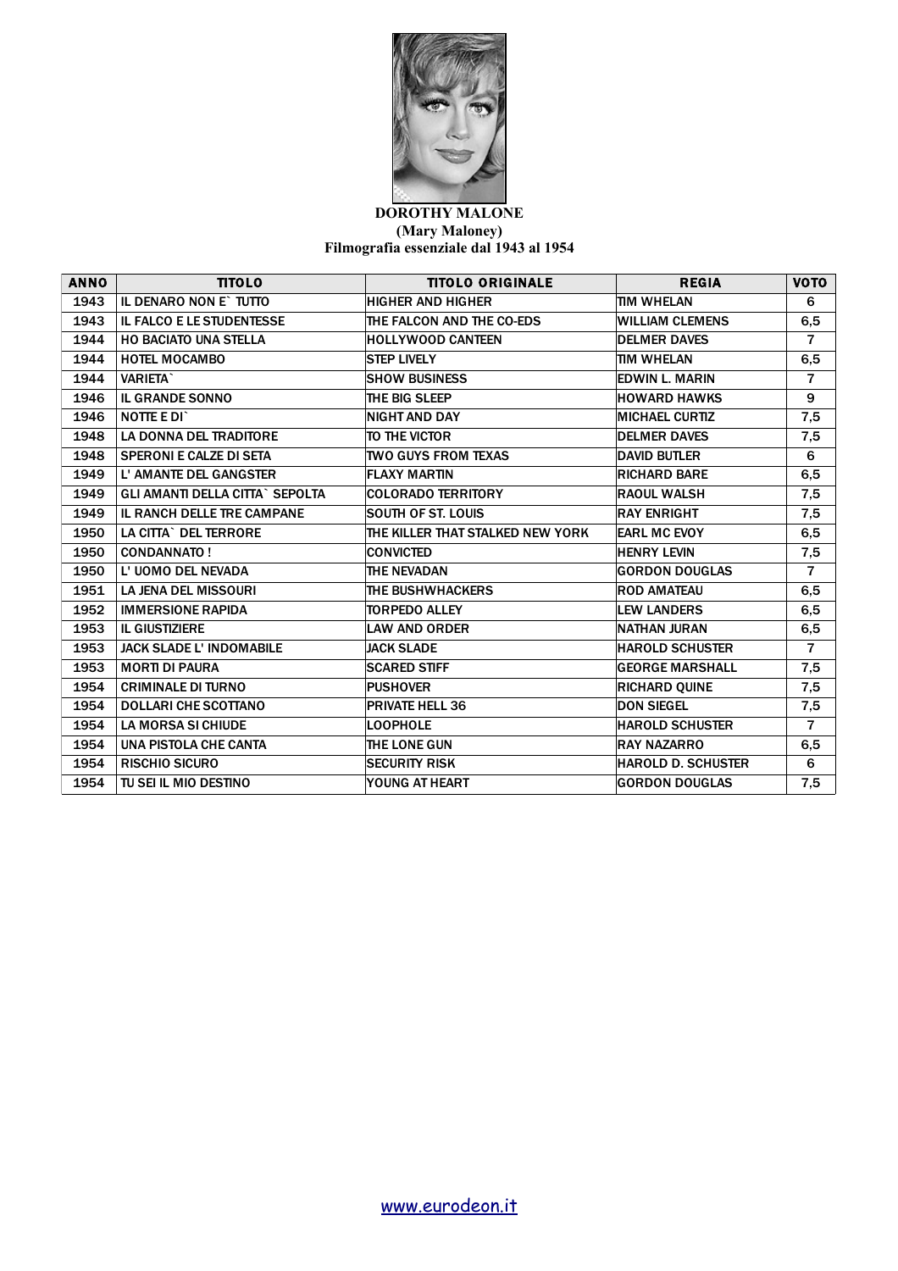

## **DOROTHY MALONE (Mary Maloney) Filmografia essenziale dal 1943 al 1954**

| <b>ANNO</b> | <b>TITOLO</b>                          | <b>TITOLO ORIGINALE</b>          | <b>REGIA</b>              | <b>VOTO</b>    |
|-------------|----------------------------------------|----------------------------------|---------------------------|----------------|
| 1943        | IL DENARO NON E`TUTTO                  | <b>HIGHER AND HIGHER</b>         | TIM WHELAN                | 6              |
| 1943        | <b>IL FALCO E LE STUDENTESSE</b>       | THE FALCON AND THE CO-EDS        | <b>WILLIAM CLEMENS</b>    | 6,5            |
| 1944        | <b>HO BACIATO UNA STELLA</b>           | <b>HOLLYWOOD CANTEEN</b>         | <b>DELMER DAVES</b>       | $\overline{7}$ |
| 1944        | <b>HOTEL MOCAMBO</b>                   | <b>STEP LIVELY</b>               | <b>TIM WHELAN</b>         | 6,5            |
| 1944        | <b>VARIETA</b>                         | <b>SHOW BUSINESS</b>             | EDWIN L. MARIN            | $\overline{7}$ |
| 1946        | <b>IL GRANDE SONNO</b>                 | THE BIG SLEEP                    | <b>HOWARD HAWKS</b>       | 9              |
| 1946        | NOTTE E DI`                            | <b>NIGHT AND DAY</b>             | <b>MICHAEL CURTIZ</b>     | 7,5            |
| 1948        | <b>LA DONNA DEL TRADITORE</b>          | TO THE VICTOR                    | <b>DELMER DAVES</b>       | 7,5            |
| 1948        | <b>SPERONI E CALZE DI SETA</b>         | <b>TWO GUYS FROM TEXAS</b>       | <b>DAVID BUTLER</b>       | 6              |
| 1949        | L' AMANTE DEL GANGSTER                 | <b>FLAXY MARTIN</b>              | <b>RICHARD BARE</b>       | 6,5            |
| 1949        | <b>GLI AMANTI DELLA CITTA` SEPOLTA</b> | <b>COLORADO TERRITORY</b>        | <b>RAOUL WALSH</b>        | 7,5            |
| 1949        | IL RANCH DELLE TRE CAMPANE             | <b>SOUTH OF ST. LOUIS</b>        | <b>RAY ENRIGHT</b>        | 7,5            |
| 1950        | <b>LA CITTA` DEL TERRORE</b>           | THE KILLER THAT STALKED NEW YORK | <b>EARL MC EVOY</b>       | 6,5            |
| 1950        | <b>CONDANNATO!</b>                     | <b>CONVICTED</b>                 | <b>HENRY LEVIN</b>        | 7,5            |
| 1950        | L' UOMO DEL NEVADA                     | <b>THE NEVADAN</b>               | <b>GORDON DOUGLAS</b>     | $\overline{7}$ |
| 1951        | <b>LA JENA DEL MISSOURI</b>            | THE BUSHWHACKERS                 | <b>ROD AMATEAU</b>        | 6,5            |
| 1952        | <b>IMMERSIONE RAPIDA</b>               | <b>TORPEDO ALLEY</b>             | <b>LEW LANDERS</b>        | 6,5            |
| 1953        | <b>IL GIUSTIZIERE</b>                  | <b>LAW AND ORDER</b>             | NATHAN JURAN              | 6,5            |
| 1953        | <b>JACK SLADE L' INDOMABILE</b>        | <b>JACK SLADE</b>                | <b>HAROLD SCHUSTER</b>    | $\overline{7}$ |
| 1953        | <b>MORTI DI PAURA</b>                  | <b>SCARED STIFF</b>              | <b>GEORGE MARSHALL</b>    | 7,5            |
| 1954        | <b>CRIMINALE DI TURNO</b>              | <b>PUSHOVER</b>                  | <b>RICHARD QUINE</b>      | 7,5            |
| 1954        | <b>DOLLARI CHE SCOTTANO</b>            | <b>PRIVATE HELL 36</b>           | <b>DON SIEGEL</b>         | 7,5            |
| 1954        | <b>LA MORSA SI CHIUDE</b>              | <b>LOOPHOLE</b>                  | <b>HAROLD SCHUSTER</b>    | $\overline{7}$ |
| 1954        | <b>UNA PISTOLA CHE CANTA</b>           | THE LONE GUN                     | <b>RAY NAZARRO</b>        | 6,5            |
| 1954        | <b>RISCHIO SICURO</b>                  | <b>SECURITY RISK</b>             | <b>HAROLD D. SCHUSTER</b> | 6              |
| 1954        | TU SEI IL MIO DESTINO                  | YOUNG AT HEART                   | <b>GORDON DOUGLAS</b>     | 7,5            |